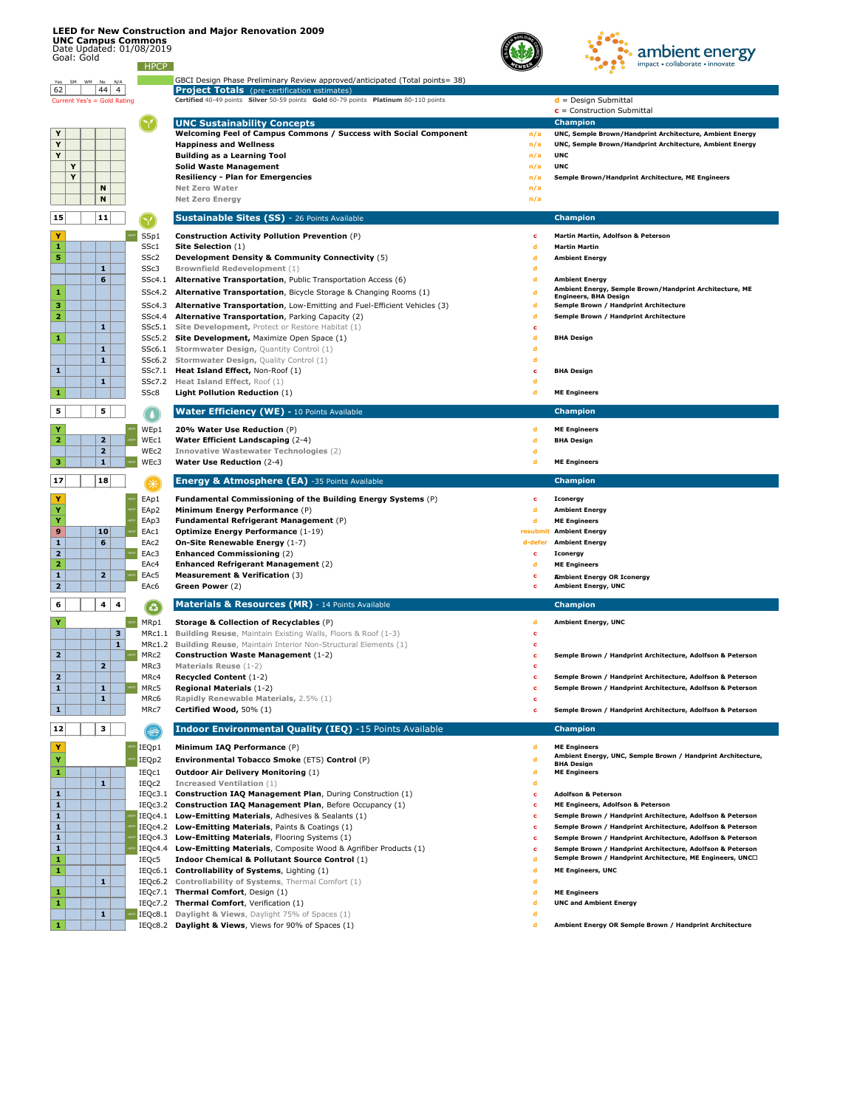## **LEED for New Construction and Major Renovation 2009**

**UNC Campus Commons**



| $\mathbf{2}$   |                | MRc2        | <b>Construction Waste Management</b> $(1-2)$                     | Semple Brown / Handprint Architecture, Adolfson & Peterson                       |
|----------------|----------------|-------------|------------------------------------------------------------------|----------------------------------------------------------------------------------|
|                | $\overline{2}$ | MRc3        | <b>Materials Reuse (1-2)</b>                                     |                                                                                  |
| 2 <sup>1</sup> |                | MRc4        | <b>Recycled Content (1-2)</b>                                    | Semple Brown / Handprint Architecture, Adolfson & Peterson                       |
| $\mathbf{1}$   | 1              | MRc5        | <b>Regional Materials (1-2)</b>                                  | Semple Brown / Handprint Architecture, Adolfson & Peterson                       |
|                | 1              | MRc6        | <b>Rapidly Renewable Materials, 2.5% (1)</b>                     |                                                                                  |
| $\mathbf{1}$   |                | MRc7        | Certified Wood, 50% (1)                                          | Semple Brown / Handprint Architecture, Adolfson & Peterson                       |
| 12             | 3              | $\bigoplus$ | <b>Indoor Environmental Quality (IEQ)</b> -15 Points Available   | <b>Champion</b>                                                                  |
| Y              |                | IEQp1       | Minimum IAQ Performance (P)                                      | <b>ME Engineers</b>                                                              |
| _              |                | IEQp2       | <b>Environmental Tobacco Smoke (ETS) Control (P)</b>             | Ambient Energy, UNC, Semple Brown / Handprint Architecture,<br><b>BHA Design</b> |
| $\mathbf{1}$   |                | IEQc1       | <b>Outdoor Air Delivery Monitoring (1)</b>                       | <b>ME Engineers</b>                                                              |
|                | 1              | IEQc2       | <b>Increased Ventilation (1)</b>                                 |                                                                                  |
| $\mathbf{1}$   |                | IEQc3.1     | <b>Construction IAQ Management Plan, During Construction (1)</b> | <b>Adolfson &amp; Peterson</b>                                                   |
| $\mathbf{1}$   |                | IEQc3.2     | <b>Construction IAQ Management Plan, Before Occupancy (1)</b>    | ME Engineers, Adolfson & Peterson                                                |
| $\mathbf{1}$   |                | IEQc4.1     | Low-Emitting Materials, Adhesives & Sealants (1)                 | Semple Brown / Handprint Architecture, Adolfson & Peterson                       |
| $\mathbf{1}$   |                | IEQc4.2     | Low-Emitting Materials, Paints & Coatings (1)                    | Semple Brown / Handprint Architecture, Adolfson & Peterson                       |
| $\mathbf{1}$   |                | IEQc4.3     | <b>Low-Emitting Materials, Flooring Systems (1)</b>              | Semple Brown / Handprint Architecture, Adolfson & Peterson                       |
| $\mathbf{1}$   |                | IEQc4.4     | Low-Emitting Materials, Composite Wood & Agrifiber Products (1)  | Semple Brown / Handprint Architecture, Adolfson & Peterson                       |
| $\mathbf{1}$   |                | IEQc5       | <b>Indoor Chemical &amp; Pollutant Source Control (1)</b>        | Semple Brown / Handprint Architecture, ME Engineers, UNC $\square$               |
| 1              |                | IEQc6.1     | <b>Controllability of Systems, Lighting (1)</b>                  | <b>ME Engineers, UNC</b>                                                         |
|                | 1              | IEQc6.2     | <b>Controllability of Systems, Thermal Comfort (1)</b>           |                                                                                  |
| 1              |                | IEQc7.1     | <b>Thermal Comfort, Design (1)</b>                               | <b>ME Engineers</b>                                                              |
| 1              |                | IEQc7.2     | <b>Thermal Comfort, Verification (1)</b>                         | <b>UNC and Ambient Energy</b>                                                    |
|                | 1              | IEQc8.1     | <b>Daylight &amp; Views</b> , Daylight 75% of Spaces (1)         |                                                                                  |
| 1.             |                | IEOc8.2     | <b>Daylight &amp; Views, Views for 90% of Spaces (1)</b>         | Ambient Energy OR Semple Brown / Handprint Architecture                          |